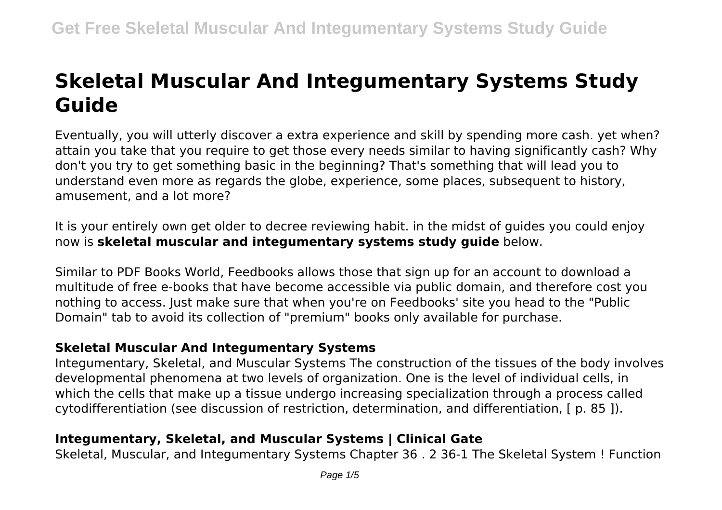# **Skeletal Muscular And Integumentary Systems Study Guide**

Eventually, you will utterly discover a extra experience and skill by spending more cash. yet when? attain you take that you require to get those every needs similar to having significantly cash? Why don't you try to get something basic in the beginning? That's something that will lead you to understand even more as regards the globe, experience, some places, subsequent to history, amusement, and a lot more?

It is your entirely own get older to decree reviewing habit. in the midst of guides you could enjoy now is **skeletal muscular and integumentary systems study guide** below.

Similar to PDF Books World, Feedbooks allows those that sign up for an account to download a multitude of free e-books that have become accessible via public domain, and therefore cost you nothing to access. Just make sure that when you're on Feedbooks' site you head to the "Public Domain" tab to avoid its collection of "premium" books only available for purchase.

# **Skeletal Muscular And Integumentary Systems**

Integumentary, Skeletal, and Muscular Systems The construction of the tissues of the body involves developmental phenomena at two levels of organization. One is the level of individual cells, in which the cells that make up a tissue undergo increasing specialization through a process called cytodifferentiation (see discussion of restriction, determination, and differentiation, [ p. 85 ]).

# **Integumentary, Skeletal, and Muscular Systems | Clinical Gate**

Skeletal, Muscular, and Integumentary Systems Chapter 36 . 2 36-1 The Skeletal System ! Function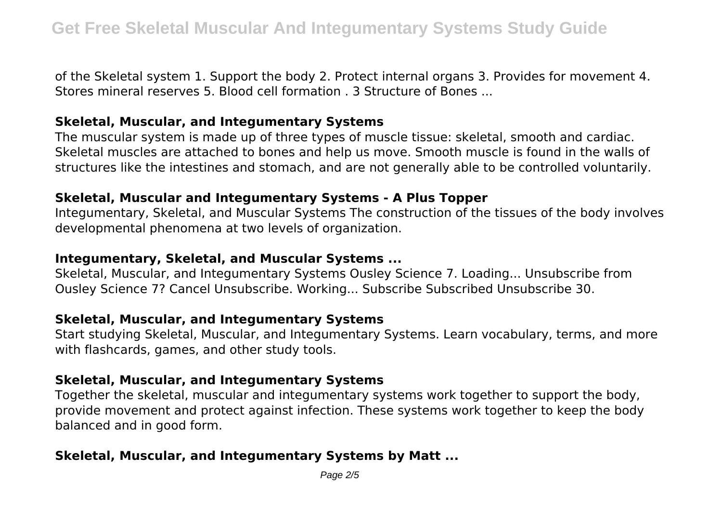of the Skeletal system 1. Support the body 2. Protect internal organs 3. Provides for movement 4. Stores mineral reserves 5. Blood cell formation . 3 Structure of Bones ...

## **Skeletal, Muscular, and Integumentary Systems**

The muscular system is made up of three types of muscle tissue: skeletal, smooth and cardiac. Skeletal muscles are attached to bones and help us move. Smooth muscle is found in the walls of structures like the intestines and stomach, and are not generally able to be controlled voluntarily.

## **Skeletal, Muscular and Integumentary Systems - A Plus Topper**

Integumentary, Skeletal, and Muscular Systems The construction of the tissues of the body involves developmental phenomena at two levels of organization.

## **Integumentary, Skeletal, and Muscular Systems ...**

Skeletal, Muscular, and Integumentary Systems Ousley Science 7. Loading... Unsubscribe from Ousley Science 7? Cancel Unsubscribe. Working... Subscribe Subscribed Unsubscribe 30.

## **Skeletal, Muscular, and Integumentary Systems**

Start studying Skeletal, Muscular, and Integumentary Systems. Learn vocabulary, terms, and more with flashcards, games, and other study tools.

## **Skeletal, Muscular, and Integumentary Systems**

Together the skeletal, muscular and integumentary systems work together to support the body, provide movement and protect against infection. These systems work together to keep the body balanced and in good form.

# **Skeletal, Muscular, and Integumentary Systems by Matt ...**

Page  $2/5$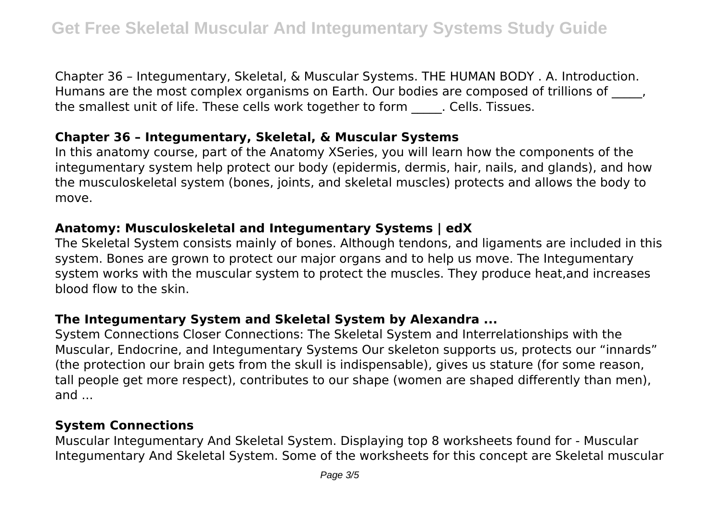Chapter 36 – Integumentary, Skeletal, & Muscular Systems. THE HUMAN BODY . A. Introduction. Humans are the most complex organisms on Earth. Our bodies are composed of trillions of  $\blacksquare$ , the smallest unit of life. These cells work together to form . Cells. Tissues.

# **Chapter 36 – Integumentary, Skeletal, & Muscular Systems**

In this anatomy course, part of the Anatomy XSeries, you will learn how the components of the integumentary system help protect our body (epidermis, dermis, hair, nails, and glands), and how the musculoskeletal system (bones, joints, and skeletal muscles) protects and allows the body to move.

# **Anatomy: Musculoskeletal and Integumentary Systems | edX**

The Skeletal System consists mainly of bones. Although tendons, and ligaments are included in this system. Bones are grown to protect our major organs and to help us move. The Integumentary system works with the muscular system to protect the muscles. They produce heat,and increases blood flow to the skin.

# **The Integumentary System and Skeletal System by Alexandra ...**

System Connections Closer Connections: The Skeletal System and Interrelationships with the Muscular, Endocrine, and Integumentary Systems Our skeleton supports us, protects our "innards" (the protection our brain gets from the skull is indispensable), gives us stature (for some reason, tall people get more respect), contributes to our shape (women are shaped differently than men), and ...

# **System Connections**

Muscular Integumentary And Skeletal System. Displaying top 8 worksheets found for - Muscular Integumentary And Skeletal System. Some of the worksheets for this concept are Skeletal muscular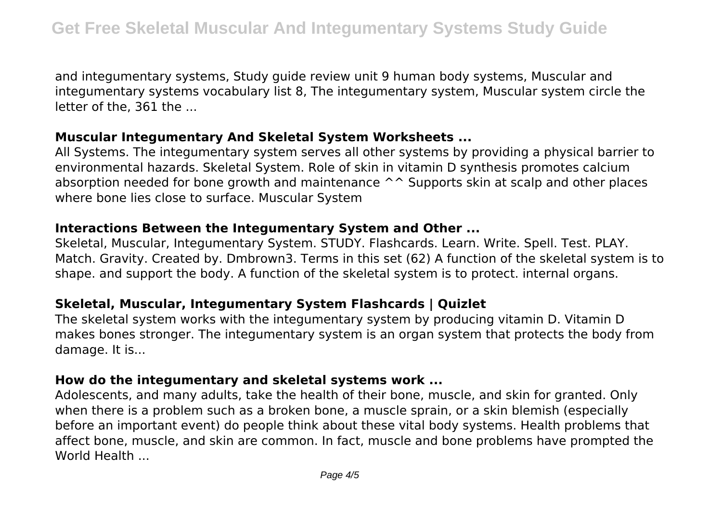and integumentary systems, Study guide review unit 9 human body systems, Muscular and integumentary systems vocabulary list 8, The integumentary system, Muscular system circle the letter of the, 361 the ...

#### **Muscular Integumentary And Skeletal System Worksheets ...**

All Systems. The integumentary system serves all other systems by providing a physical barrier to environmental hazards. Skeletal System. Role of skin in vitamin D synthesis promotes calcium absorption needed for bone growth and maintenance  $\wedge\wedge$  Supports skin at scalp and other places where bone lies close to surface. Muscular System

## **Interactions Between the Integumentary System and Other ...**

Skeletal, Muscular, Integumentary System. STUDY. Flashcards. Learn. Write. Spell. Test. PLAY. Match. Gravity. Created by. Dmbrown3. Terms in this set (62) A function of the skeletal system is to shape. and support the body. A function of the skeletal system is to protect. internal organs.

# **Skeletal, Muscular, Integumentary System Flashcards | Quizlet**

The skeletal system works with the integumentary system by producing vitamin D. Vitamin D makes bones stronger. The integumentary system is an organ system that protects the body from damage. It is...

## **How do the integumentary and skeletal systems work ...**

Adolescents, and many adults, take the health of their bone, muscle, and skin for granted. Only when there is a problem such as a broken bone, a muscle sprain, or a skin blemish (especially before an important event) do people think about these vital body systems. Health problems that affect bone, muscle, and skin are common. In fact, muscle and bone problems have prompted the World Health ...